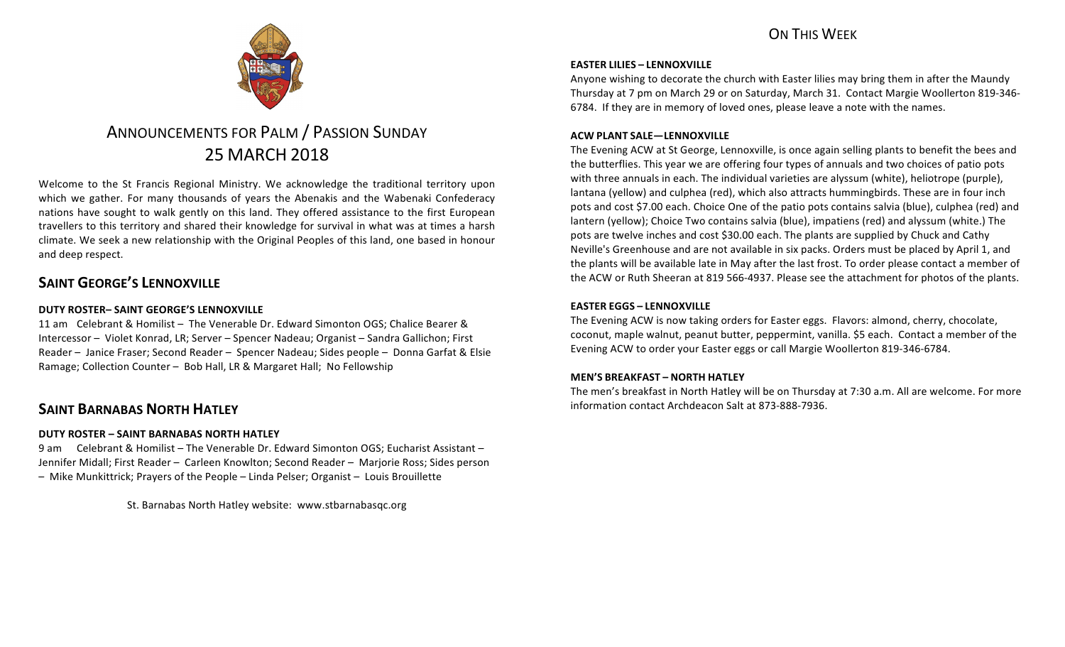## **ON THIS WFFK**



# ANNOUNCEMENTS FOR PALM / PASSION SUNDAY 25 MARCH 2018

Welcome to the St Francis Regional Ministry. We acknowledge the traditional territory upon which we gather. For many thousands of years the Abenakis and the Wabenaki Confederacy nations have sought to walk gently on this land. They offered assistance to the first European travellers to this territory and shared their knowledge for survival in what was at times a harsh climate. We seek a new relationship with the Original Peoples of this land, one based in honour and deep respect.

## **SAINT GEORGE'S LENNOXVILLE**

### **DUTY ROSTER– SAINT GEORGE'S LENNOXVILLE**

11 am Celebrant & Homilist – The Venerable Dr. Edward Simonton OGS; Chalice Bearer & Intercessor – Violet Konrad, LR; Server – Spencer Nadeau; Organist – Sandra Gallichon; First Reader – Janice Fraser; Second Reader – Spencer Nadeau; Sides people – Donna Garfat & Elsie Ramage; Collection Counter - Bob Hall, LR & Margaret Hall; No Fellowship

## **SAINT BARNABAS NORTH HATLEY**

#### **DUTY ROSTER – SAINT BARNABAS NORTH HATLEY**

9 am Celebrant & Homilist – The Venerable Dr. Edward Simonton OGS; Eucharist Assistant – Jennifer Midall; First Reader – Carleen Knowlton; Second Reader – Marjorie Ross; Sides person  $-$  Mike Munkittrick; Prayers of the People  $-$  Linda Pelser; Organist  $-$  Louis Brouillette

St. Barnabas North Hatley website: www.stbarnabasqc.org

#### **EASTER LILIES – LENNOXVILLE**

Anyone wishing to decorate the church with Easter lilies may bring them in after the Maundy Thursday at 7 pm on March 29 or on Saturday, March 31. Contact Margie Woollerton 819-346-6784. If they are in memory of loved ones, please leave a note with the names.

#### **ACW PLANT SALE—LENNOXVILLE**

The Evening ACW at St George, Lennoxville, is once again selling plants to benefit the bees and the butterflies. This year we are offering four types of annuals and two choices of patio pots with three annuals in each. The individual varieties are alyssum (white), heliotrope (purple), lantana (yellow) and culphea (red), which also attracts hummingbirds. These are in four inch pots and cost \$7.00 each. Choice One of the patio pots contains salvia (blue), culphea (red) and lantern (yellow); Choice Two contains salvia (blue), impatiens (red) and alyssum (white.) The pots are twelve inches and cost \$30.00 each. The plants are supplied by Chuck and Cathy Neville's Greenhouse and are not available in six packs. Orders must be placed by April 1, and the plants will be available late in May after the last frost. To order please contact a member of the ACW or Ruth Sheeran at 819 566-4937. Please see the attachment for photos of the plants.

#### **EASTER EGGS – LENNOXVILLE**

The Evening ACW is now taking orders for Easter eggs. Flavors: almond, cherry, chocolate, coconut, maple walnut, peanut butter, peppermint, vanilla. \$5 each. Contact a member of the Evening ACW to order your Easter eggs or call Margie Woollerton 819-346-6784.

#### **MEN'S BREAKFAST – NORTH HATLEY**

The men's breakfast in North Hatley will be on Thursday at 7:30 a.m. All are welcome. For more information contact Archdeacon Salt at 873-888-7936.